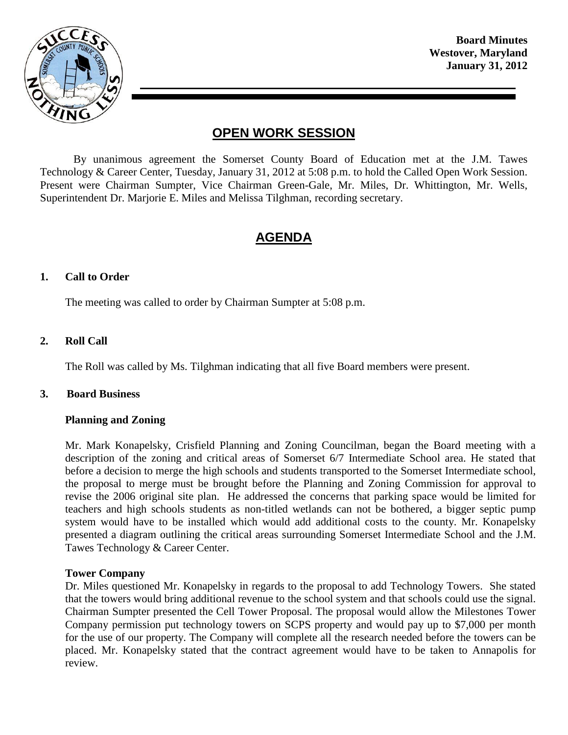

**Board Minutes Westover, Maryland January 31, 2012**

# **OPEN WORK SESSION**

By unanimous agreement the Somerset County Board of Education met at the J.M. Tawes Technology & Career Center, Tuesday, January 31, 2012 at 5:08 p.m. to hold the Called Open Work Session. Present were Chairman Sumpter, Vice Chairman Green-Gale, Mr. Miles, Dr. Whittington, Mr. Wells, Superintendent Dr. Marjorie E. Miles and Melissa Tilghman, recording secretary.

# **AGENDA**

#### **1. Call to Order**

The meeting was called to order by Chairman Sumpter at 5:08 p.m.

## **2. Roll Call**

The Roll was called by Ms. Tilghman indicating that all five Board members were present.

#### **3. Board Business**

#### **Planning and Zoning**

Mr. Mark Konapelsky, Crisfield Planning and Zoning Councilman, began the Board meeting with a description of the zoning and critical areas of Somerset 6/7 Intermediate School area. He stated that before a decision to merge the high schools and students transported to the Somerset Intermediate school, the proposal to merge must be brought before the Planning and Zoning Commission for approval to revise the 2006 original site plan. He addressed the concerns that parking space would be limited for teachers and high schools students as non-titled wetlands can not be bothered, a bigger septic pump system would have to be installed which would add additional costs to the county. Mr. Konapelsky presented a diagram outlining the critical areas surrounding Somerset Intermediate School and the J.M. Tawes Technology & Career Center.

#### **Tower Company**

Dr. Miles questioned Mr. Konapelsky in regards to the proposal to add Technology Towers. She stated that the towers would bring additional revenue to the school system and that schools could use the signal. Chairman Sumpter presented the Cell Tower Proposal. The proposal would allow the Milestones Tower Company permission put technology towers on SCPS property and would pay up to \$7,000 per month for the use of our property. The Company will complete all the research needed before the towers can be placed. Mr. Konapelsky stated that the contract agreement would have to be taken to Annapolis for review.